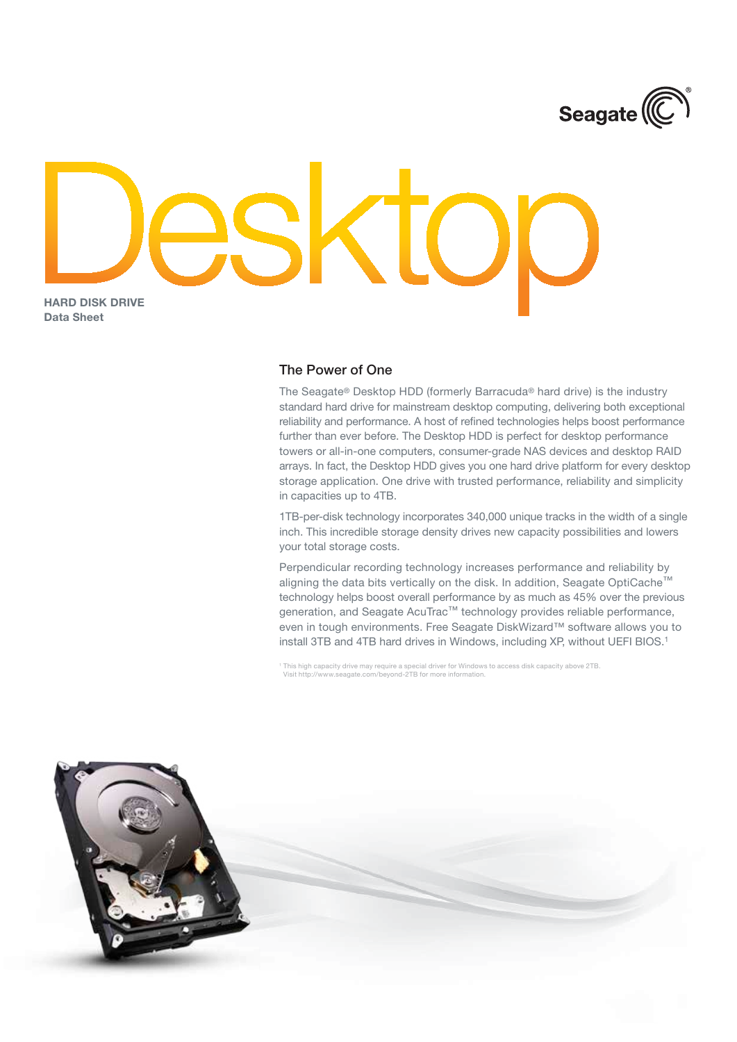

## Hard Disk Drive Data Sheet

## The Power of One

The Seagate® Desktop HDD (formerly Barracuda® hard drive) is the industry standard hard drive for mainstream desktop computing, delivering both exceptional reliability and performance. A host of refined technologies helps boost performance further than ever before. The Desktop HDD is perfect for desktop performance towers or all-in-one computers, consumer-grade NAS devices and desktop RAID arrays. In fact, the Desktop HDD gives you one hard drive platform for every desktop storage application. One drive with trusted performance, reliability and simplicity in capacities up to 4TB.

1TB-per-disk technology incorporates 340,000 unique tracks in the width of a single inch. This incredible storage density drives new capacity possibilities and lowers your total storage costs.

Perpendicular recording technology increases performance and reliability by aligning the data bits vertically on the disk. In addition, Seagate OptiCache™ technology helps boost overall performance by as much as 45% over the previous generation, and Seagate AcuTrac™ technology provides reliable performance, even in tough environments. Free Seagate DiskWizard™ software allows you to install 3TB and 4TB hard drives in Windows, including XP, without UEFI BIOS.1

This high capacity drive may require a special driver for Windows to access disk capacity above 2TB. Visit http://www.seagate.com/beyond-2TB for more information.